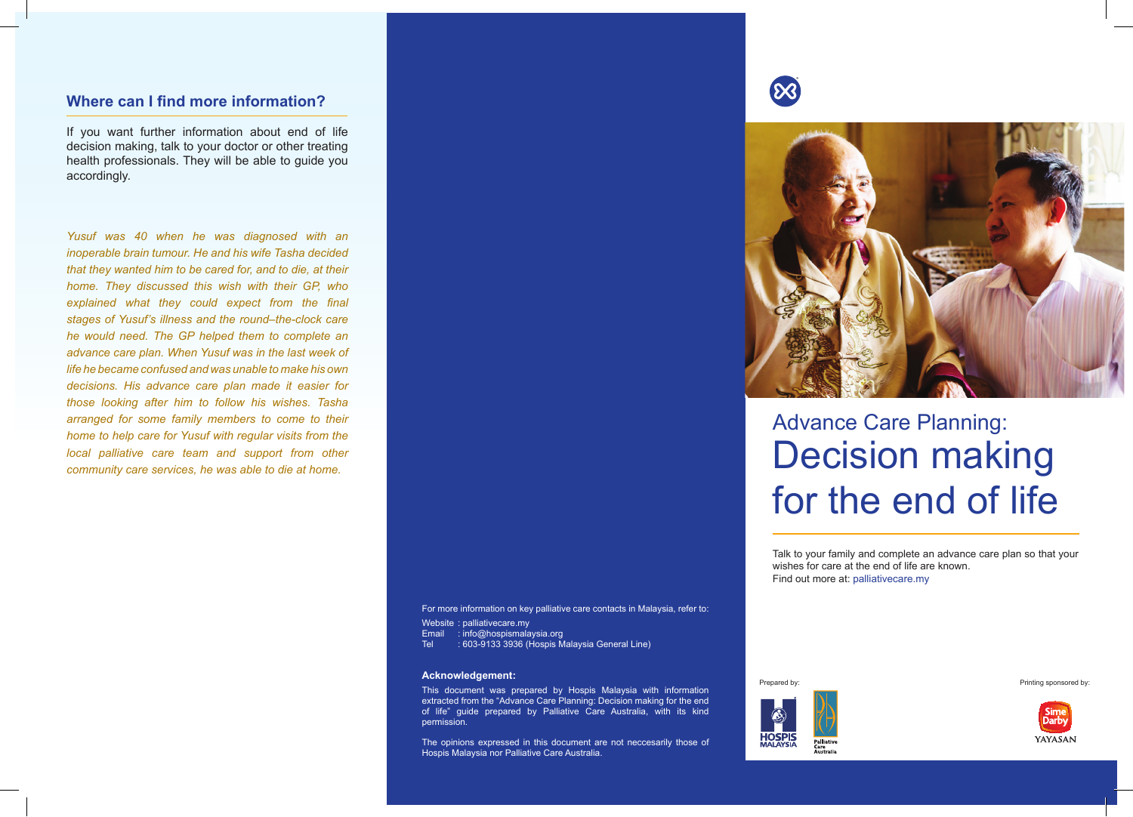### **Where can I find more information?**

If you want further information about end of life decision making, talk to your doctor or other treating health professionals. They will be able to guide you accordingly.

*Yusuf was 40 when he was diagnosed with an inoperable brain tumour. He and his wife Tasha decided that they wanted him to be cared for, and to die, at their home. They discussed this wish with their GP, who explained what they could expect from the final stages of Yusuf's illness and the round–the-clock care he would need. The GP helped them to complete an advance care plan. When Yusuf was in the last week of life he became confused and was unable to make his own decisions. His advance care plan made it easier for those looking after him to follow his wishes. Tasha arranged for some family members to come to their home to help care for Yusuf with regular visits from the local palliative care team and support from other community care services, he was able to die at home.*

For more information on key palliative care contacts in Malaysia, refer to:

Website : palliativecare.my

- Email : info@hospismalaysia.org
- Tel : 603-9133 3936 (Hospis Malaysia General Line)

#### **Acknowledgement:**

This document was prepared by Hospis Malaysia with information extracted from the "Advance Care Planning: Decision making for the end of life" guide prepared by Palliative Care Australia, with its kind permission.

The opinions expressed in this document are not neccesarily those of Hospis Malaysia nor Palliative Care Australia.





# Advance Care Planning: Decision making for the end of life

Talk to your family and complete an advance care plan so that your wishes for care at the end of life are known. Find out more at: palliativecare.my



Prepared by: Printing sponsored by: